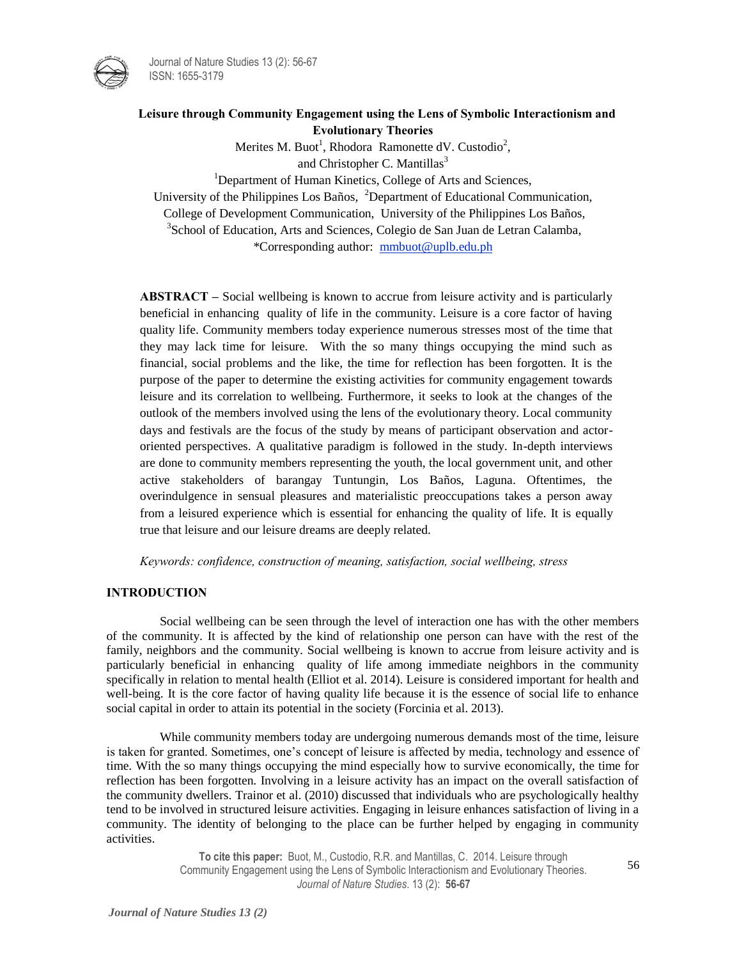



Merites M. Buot<sup>1</sup>, Rhodora Ramonette dV. Custodio<sup>2</sup>, and Christopher C. Mantillas $3$ 

<sup>1</sup>Department of Human Kinetics, College of Arts and Sciences,

University of the Philippines Los Baños, <sup>2</sup>Department of Educational Communication,

College of Development Communication, University of the Philippines Los Baños,

<sup>3</sup> School of Education, Arts and Sciences, Colegio de San Juan de Letran Calamba, \*Corresponding author: [mmbuot@uplb.edu.ph](mailto:mmbuot@uplb.edu.ph)

**ABSTRACT –** Social wellbeing is known to accrue from leisure activity and is particularly beneficial in enhancing quality of life in the community. Leisure is a core factor of having quality life. Community members today experience numerous stresses most of the time that they may lack time for leisure. With the so many things occupying the mind such as financial, social problems and the like, the time for reflection has been forgotten. It is the purpose of the paper to determine the existing activities for community engagement towards leisure and its correlation to wellbeing. Furthermore, it seeks to look at the changes of the outlook of the members involved using the lens of the evolutionary theory. Local community days and festivals are the focus of the study by means of participant observation and actororiented perspectives. A qualitative paradigm is followed in the study. In-depth interviews are done to community members representing the youth, the local government unit, and other active stakeholders of barangay Tuntungin, Los Baños, Laguna. Oftentimes, the overindulgence in sensual pleasures and materialistic preoccupations takes a person away from a leisured experience which is essential for enhancing the quality of life. It is equally true that leisure and our leisure dreams are deeply related.

*Keywords: confidence, construction of meaning, satisfaction, social wellbeing, stress* 

## **INTRODUCTION**

Social wellbeing can be seen through the level of interaction one has with the other members of the community. It is affected by the kind of relationship one person can have with the rest of the family, neighbors and the community. Social wellbeing is known to accrue from leisure activity and is particularly beneficial in enhancing quality of life among immediate neighbors in the community specifically in relation to mental health (Elliot et al. 2014). Leisure is considered important for health and well-being. It is the core factor of having quality life because it is the essence of social life to enhance social capital in order to attain its potential in the society (Forcinia et al. 2013).

While community members today are undergoing numerous demands most of the time, leisure is taken for granted. Sometimes, one's concept of leisure is affected by media, technology and essence of time. With the so many things occupying the mind especially how to survive economically, the time for reflection has been forgotten. Involving in a leisure activity has an impact on the overall satisfaction of the community dwellers. Trainor et al. (2010) discussed that individuals who are psychologically healthy tend to be involved in structured leisure activities. Engaging in leisure enhances satisfaction of living in a community. The identity of belonging to the place can be further helped by engaging in community activities.

> **To cite this paper:** Buot, M., Custodio, R.R. and Mantillas, C. 2014. Leisure through Community Engagement using the Lens of Symbolic Interactionism and Evolutionary Theories. *Journal of Nature Studies*. 13 (2): **56-67**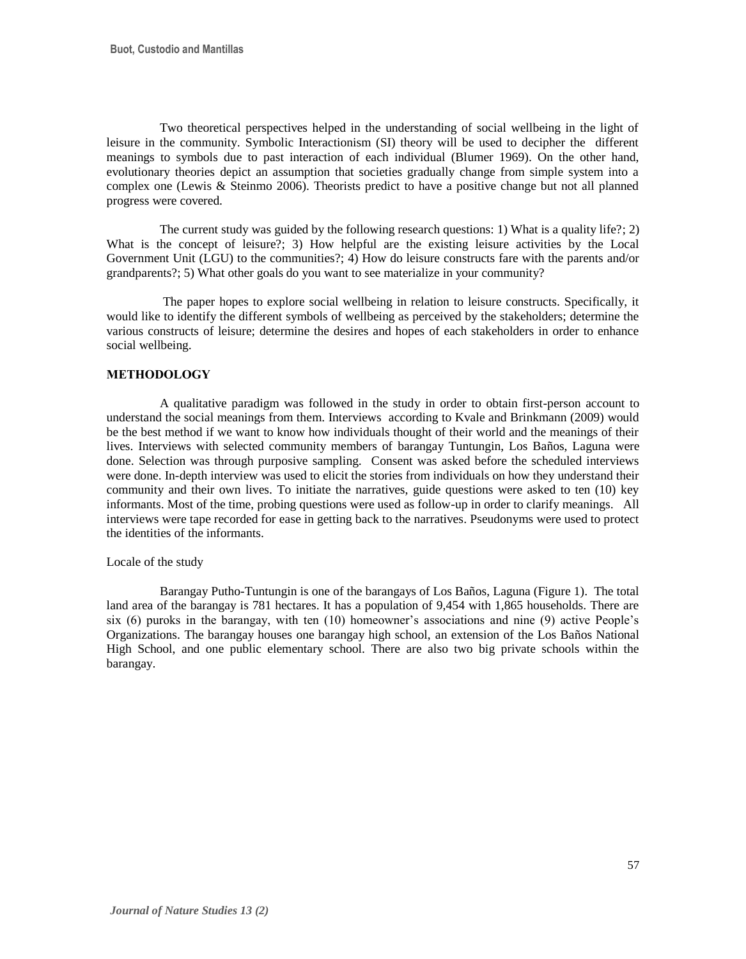Two theoretical perspectives helped in the understanding of social wellbeing in the light of leisure in the community. Symbolic Interactionism (SI) theory will be used to decipher the different meanings to symbols due to past interaction of each individual (Blumer 1969). On the other hand, evolutionary theories depict an assumption that societies gradually change from simple system into a complex one (Lewis & Steinmo 2006). Theorists predict to have a positive change but not all planned progress were covered.

The current study was guided by the following research questions: 1) What is a quality life?; 2) What is the concept of leisure?; 3) How helpful are the existing leisure activities by the Local Government Unit (LGU) to the communities?; 4) How do leisure constructs fare with the parents and/or grandparents?; 5) What other goals do you want to see materialize in your community?

The paper hopes to explore social wellbeing in relation to leisure constructs. Specifically, it would like to identify the different symbols of wellbeing as perceived by the stakeholders; determine the various constructs of leisure; determine the desires and hopes of each stakeholders in order to enhance social wellbeing.

## **METHODOLOGY**

A qualitative paradigm was followed in the study in order to obtain first-person account to understand the social meanings from them. Interviews according to Kvale and Brinkmann (2009) would be the best method if we want to know how individuals thought of their world and the meanings of their lives. Interviews with selected community members of barangay Tuntungin, Los Baños, Laguna were done. Selection was through purposive sampling. Consent was asked before the scheduled interviews were done. In-depth interview was used to elicit the stories from individuals on how they understand their community and their own lives. To initiate the narratives, guide questions were asked to ten (10) key informants. Most of the time, probing questions were used as follow-up in order to clarify meanings. All interviews were tape recorded for ease in getting back to the narratives. Pseudonyms were used to protect the identities of the informants.

## Locale of the study

Barangay Putho-Tuntungin is one of the barangays of Los Baños, Laguna (Figure 1). The total land area of the barangay is 781 hectares. It has a population of 9,454 with 1,865 households. There are six (6) puroks in the barangay, with ten (10) homeowner's associations and nine (9) active People's Organizations. The barangay houses one barangay high school, an extension of the Los Baños National High School, and one public elementary school. There are also two big private schools within the barangay.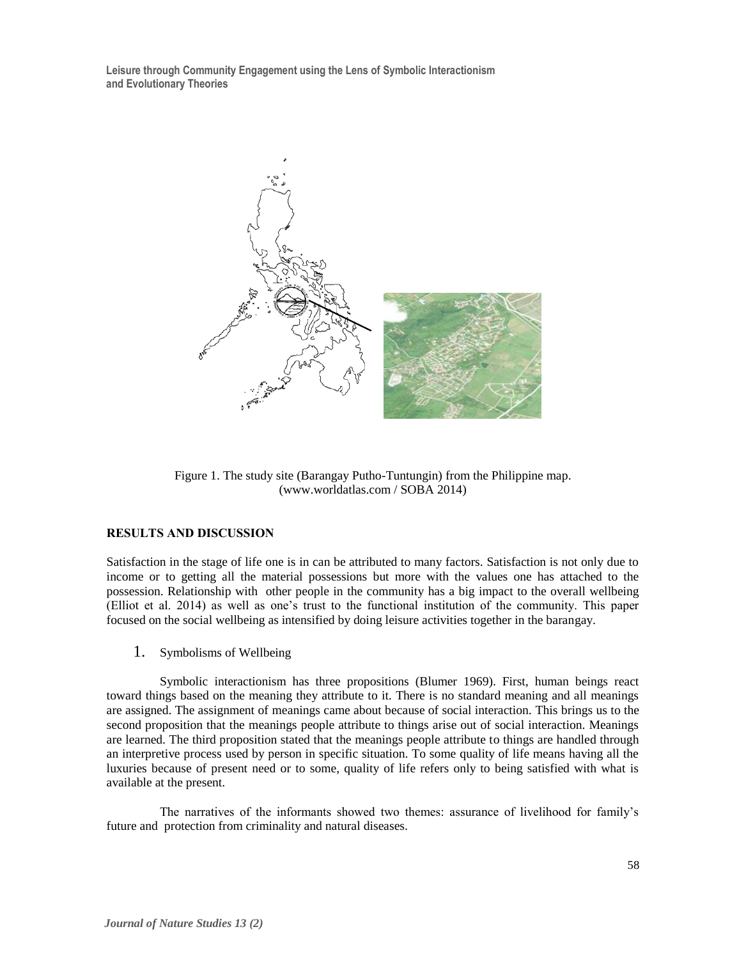

Figure 1. The study site (Barangay Putho-Tuntungin) from the Philippine map. (www.worldatlas.com / SOBA 2014)

## **RESULTS AND DISCUSSION**

Satisfaction in the stage of life one is in can be attributed to many factors. Satisfaction is not only due to income or to getting all the material possessions but more with the values one has attached to the possession. Relationship with other people in the community has a big impact to the overall wellbeing (Elliot et al. 2014) as well as one's trust to the functional institution of the community. This paper focused on the social wellbeing as intensified by doing leisure activities together in the barangay.

1. Symbolisms of Wellbeing

Symbolic interactionism has three propositions (Blumer 1969). First, human beings react toward things based on the meaning they attribute to it. There is no standard meaning and all meanings are assigned. The assignment of meanings came about because of social interaction. This brings us to the second proposition that the meanings people attribute to things arise out of social interaction. Meanings are learned. The third proposition stated that the meanings people attribute to things are handled through an interpretive process used by person in specific situation. To some quality of life means having all the luxuries because of present need or to some, quality of life refers only to being satisfied with what is available at the present.

The narratives of the informants showed two themes: assurance of livelihood for family's future and protection from criminality and natural diseases.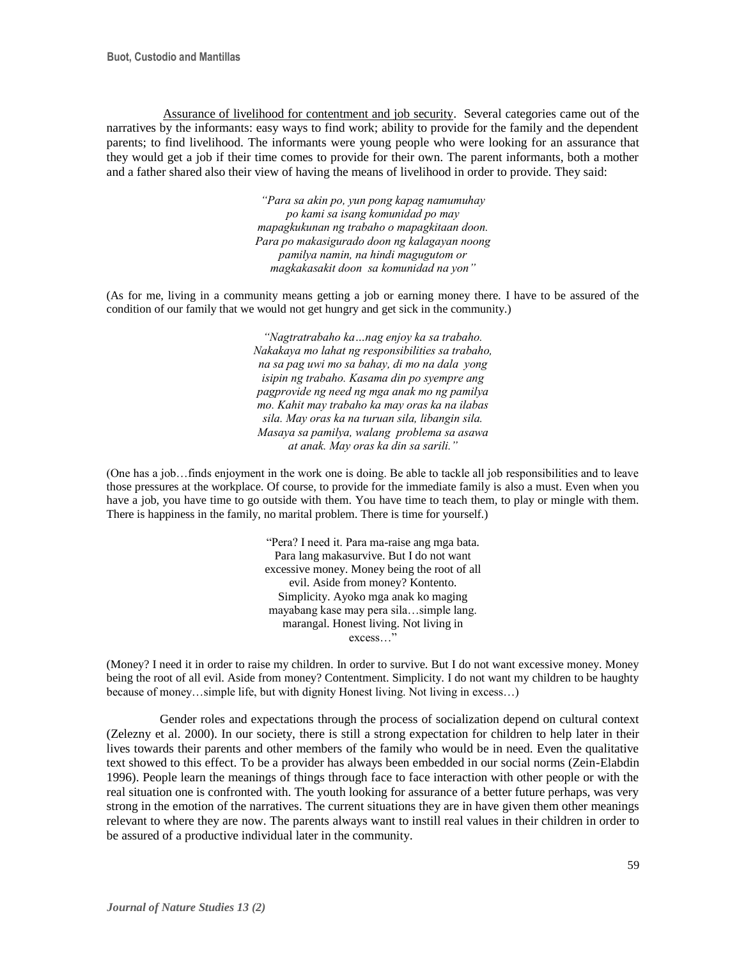Assurance of livelihood for contentment and job security. Several categories came out of the narratives by the informants: easy ways to find work; ability to provide for the family and the dependent parents; to find livelihood. The informants were young people who were looking for an assurance that they would get a job if their time comes to provide for their own. The parent informants, both a mother and a father shared also their view of having the means of livelihood in order to provide. They said:

> *"Para sa akin po, yun pong kapag namumuhay po kami sa isang komunidad po may mapagkukunan ng trabaho o mapagkitaan doon. Para po makasigurado doon ng kalagayan noong pamilya namin, na hindi magugutom or magkakasakit doon sa komunidad na yon"*

(As for me, living in a community means getting a job or earning money there. I have to be assured of the condition of our family that we would not get hungry and get sick in the community.)

> *"Nagtratrabaho ka…nag enjoy ka sa trabaho. Nakakaya mo lahat ng responsibilities sa trabaho, na sa pag uwi mo sa bahay, di mo na dala yong isipin ng trabaho. Kasama din po syempre ang pagprovide ng need ng mga anak mo ng pamilya mo. Kahit may trabaho ka may oras ka na ilabas sila. May oras ka na turuan sila, libangin sila. Masaya sa pamilya, walang problema sa asawa at anak. May oras ka din sa sarili."*

(One has a job…finds enjoyment in the work one is doing. Be able to tackle all job responsibilities and to leave those pressures at the workplace. Of course, to provide for the immediate family is also a must. Even when you have a job, you have time to go outside with them. You have time to teach them, to play or mingle with them. There is happiness in the family, no marital problem. There is time for yourself.)

> "Pera? I need it. Para ma-raise ang mga bata. Para lang makasurvive. But I do not want excessive money. Money being the root of all evil. Aside from money? Kontento. Simplicity. Ayoko mga anak ko maging mayabang kase may pera sila…simple lang. marangal. Honest living. Not living in excess...

(Money? I need it in order to raise my children. In order to survive. But I do not want excessive money. Money being the root of all evil. Aside from money? Contentment. Simplicity. I do not want my children to be haughty because of money…simple life, but with dignity Honest living. Not living in excess…)

Gender roles and expectations through the process of socialization depend on cultural context (Zelezny et al. 2000). In our society, there is still a strong expectation for children to help later in their lives towards their parents and other members of the family who would be in need. Even the qualitative text showed to this effect. To be a provider has always been embedded in our social norms (Zein-Elabdin 1996). People learn the meanings of things through face to face interaction with other people or with the real situation one is confronted with. The youth looking for assurance of a better future perhaps, was very strong in the emotion of the narratives. The current situations they are in have given them other meanings relevant to where they are now. The parents always want to instill real values in their children in order to be assured of a productive individual later in the community.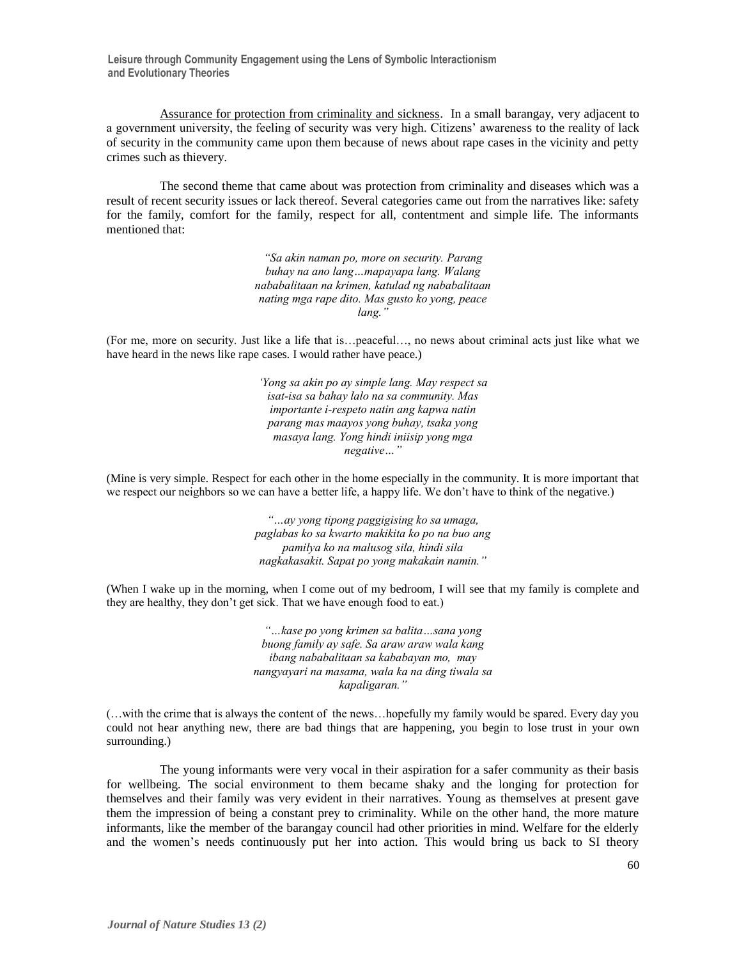Assurance for protection from criminality and sickness. In a small barangay, very adjacent to a government university, the feeling of security was very high. Citizens' awareness to the reality of lack of security in the community came upon them because of news about rape cases in the vicinity and petty crimes such as thievery.

The second theme that came about was protection from criminality and diseases which was a result of recent security issues or lack thereof. Several categories came out from the narratives like: safety for the family, comfort for the family, respect for all, contentment and simple life. The informants mentioned that:

> *"Sa akin naman po, more on security. Parang buhay na ano lang…mapayapa lang. Walang nababalitaan na krimen, katulad ng nababalitaan nating mga rape dito. Mas gusto ko yong, peace lang."*

(For me, more on security. Just like a life that is…peaceful…, no news about criminal acts just like what we have heard in the news like rape cases. I would rather have peace.)

> *'Yong sa akin po ay simple lang. May respect sa isat-isa sa bahay lalo na sa community. Mas importante i-respeto natin ang kapwa natin parang mas maayos yong buhay, tsaka yong masaya lang. Yong hindi iniisip yong mga negative…"*

(Mine is very simple. Respect for each other in the home especially in the community. It is more important that we respect our neighbors so we can have a better life, a happy life. We don't have to think of the negative.)

> *"…ay yong tipong paggigising ko sa umaga, paglabas ko sa kwarto makikita ko po na buo ang pamilya ko na malusog sila, hindi sila nagkakasakit. Sapat po yong makakain namin."*

(When I wake up in the morning, when I come out of my bedroom, I will see that my family is complete and they are healthy, they don't get sick. That we have enough food to eat.)

> *"…kase po yong krimen sa balita…sana yong buong family ay safe. Sa araw araw wala kang ibang nababalitaan sa kababayan mo, may nangyayari na masama, wala ka na ding tiwala sa kapaligaran."*

(…with the crime that is always the content of the news…hopefully my family would be spared. Every day you could not hear anything new, there are bad things that are happening, you begin to lose trust in your own surrounding.)

The young informants were very vocal in their aspiration for a safer community as their basis for wellbeing. The social environment to them became shaky and the longing for protection for themselves and their family was very evident in their narratives. Young as themselves at present gave them the impression of being a constant prey to criminality. While on the other hand, the more mature informants, like the member of the barangay council had other priorities in mind. Welfare for the elderly and the women's needs continuously put her into action. This would bring us back to SI theory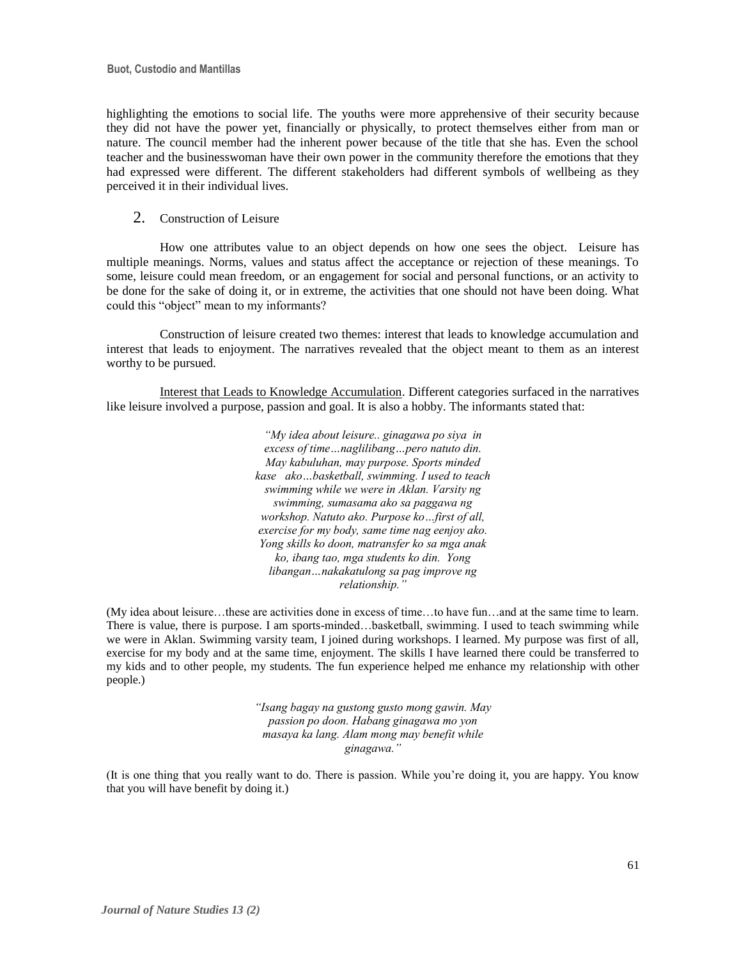highlighting the emotions to social life. The youths were more apprehensive of their security because they did not have the power yet, financially or physically, to protect themselves either from man or nature. The council member had the inherent power because of the title that she has. Even the school teacher and the businesswoman have their own power in the community therefore the emotions that they had expressed were different. The different stakeholders had different symbols of wellbeing as they perceived it in their individual lives.

## 2. Construction of Leisure

How one attributes value to an object depends on how one sees the object. Leisure has multiple meanings. Norms, values and status affect the acceptance or rejection of these meanings. To some, leisure could mean freedom, or an engagement for social and personal functions, or an activity to be done for the sake of doing it, or in extreme, the activities that one should not have been doing. What could this "object" mean to my informants?

Construction of leisure created two themes: interest that leads to knowledge accumulation and interest that leads to enjoyment. The narratives revealed that the object meant to them as an interest worthy to be pursued.

Interest that Leads to Knowledge Accumulation. Different categories surfaced in the narratives like leisure involved a purpose, passion and goal. It is also a hobby. The informants stated that:

> *"My idea about leisure.. ginagawa po siya in excess of time…naglilibang…pero natuto din. May kabuluhan, may purpose. Sports minded kase ako…basketball, swimming. I used to teach swimming while we were in Aklan. Varsity ng swimming, sumasama ako sa paggawa ng workshop. Natuto ako. Purpose ko…first of all, exercise for my body, same time nag eenjoy ako. Yong skills ko doon, matransfer ko sa mga anak ko, ibang tao, mga students ko din. Yong libangan…nakakatulong sa pag improve ng relationship."*

(My idea about leisure…these are activities done in excess of time…to have fun…and at the same time to learn. There is value, there is purpose. I am sports-minded…basketball, swimming. I used to teach swimming while we were in Aklan. Swimming varsity team, I joined during workshops. I learned. My purpose was first of all, exercise for my body and at the same time, enjoyment. The skills I have learned there could be transferred to my kids and to other people, my students. The fun experience helped me enhance my relationship with other people.)

> *"Isang bagay na gustong gusto mong gawin. May passion po doon. Habang ginagawa mo yon masaya ka lang. Alam mong may benefit while ginagawa."*

(It is one thing that you really want to do. There is passion. While you're doing it, you are happy. You know that you will have benefit by doing it.)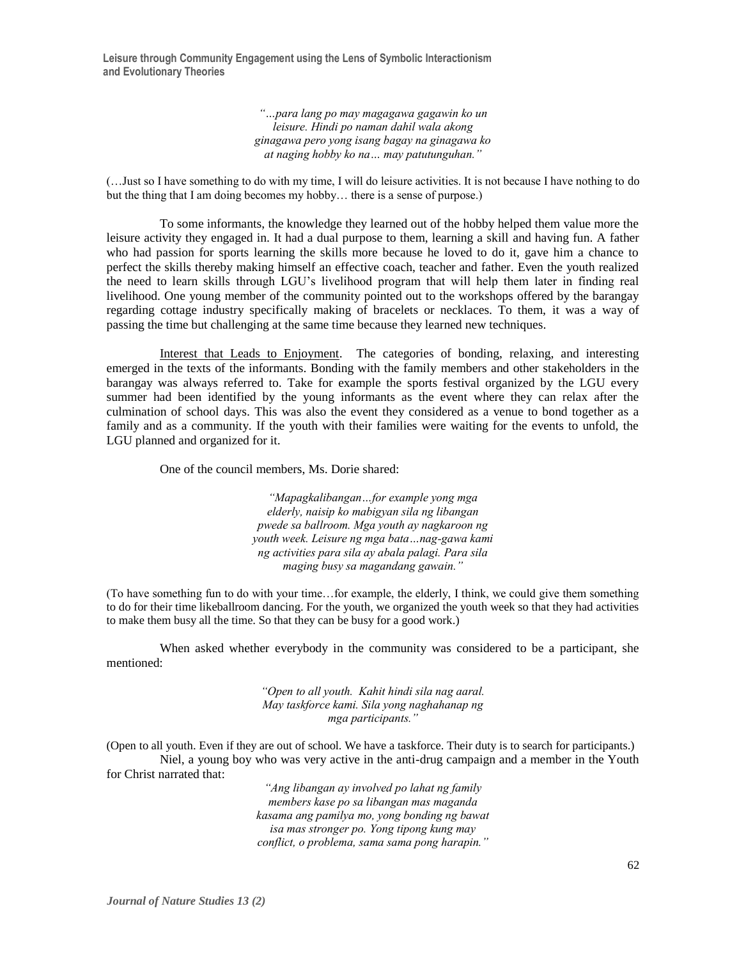> *"…para lang po may magagawa gagawin ko un leisure. Hindi po naman dahil wala akong ginagawa pero yong isang bagay na ginagawa ko at naging hobby ko na… may patutunguhan."*

(…Just so I have something to do with my time, I will do leisure activities. It is not because I have nothing to do but the thing that I am doing becomes my hobby… there is a sense of purpose.)

To some informants, the knowledge they learned out of the hobby helped them value more the leisure activity they engaged in. It had a dual purpose to them, learning a skill and having fun. A father who had passion for sports learning the skills more because he loved to do it, gave him a chance to perfect the skills thereby making himself an effective coach, teacher and father. Even the youth realized the need to learn skills through LGU's livelihood program that will help them later in finding real livelihood. One young member of the community pointed out to the workshops offered by the barangay regarding cottage industry specifically making of bracelets or necklaces. To them, it was a way of passing the time but challenging at the same time because they learned new techniques.

Interest that Leads to Enjoyment. The categories of bonding, relaxing, and interesting emerged in the texts of the informants. Bonding with the family members and other stakeholders in the barangay was always referred to. Take for example the sports festival organized by the LGU every summer had been identified by the young informants as the event where they can relax after the culmination of school days. This was also the event they considered as a venue to bond together as a family and as a community. If the youth with their families were waiting for the events to unfold, the LGU planned and organized for it.

One of the council members, Ms. Dorie shared:

*"Mapagkalibangan…for example yong mga elderly, naisip ko mabigyan sila ng libangan pwede sa ballroom. Mga youth ay nagkaroon ng youth week. Leisure ng mga bata…nag-gawa kami ng activities para sila ay abala palagi. Para sila maging busy sa magandang gawain."*

(To have something fun to do with your time…for example, the elderly, I think, we could give them something to do for their time likeballroom dancing. For the youth, we organized the youth week so that they had activities to make them busy all the time. So that they can be busy for a good work.)

When asked whether everybody in the community was considered to be a participant, she mentioned:

> *"Open to all youth. Kahit hindi sila nag aaral. May taskforce kami. Sila yong naghahanap ng mga participants."*

(Open to all youth. Even if they are out of school. We have a taskforce. Their duty is to search for participants.) Niel, a young boy who was very active in the anti-drug campaign and a member in the Youth for Christ narrated that:

> *"Ang libangan ay involved po lahat ng family members kase po sa libangan mas maganda kasama ang pamilya mo, yong bonding ng bawat isa mas stronger po. Yong tipong kung may conflict, o problema, sama sama pong harapin."*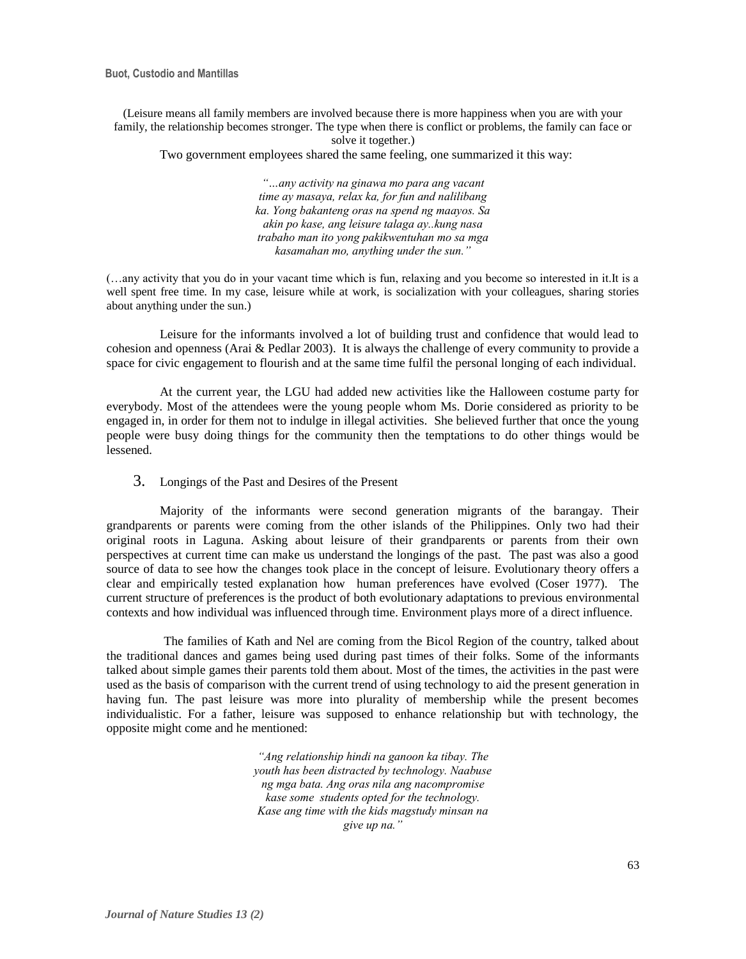**Buot, Custodio and Mantillas**

(Leisure means all family members are involved because there is more happiness when you are with your family, the relationship becomes stronger. The type when there is conflict or problems, the family can face or solve it together.)

Two government employees shared the same feeling, one summarized it this way:

*"…any activity na ginawa mo para ang vacant time ay masaya, relax ka, for fun and nalilibang ka. Yong bakanteng oras na spend ng maayos. Sa akin po kase, ang leisure talaga ay..kung nasa trabaho man ito yong pakikwentuhan mo sa mga kasamahan mo, anything under the sun."*

(…any activity that you do in your vacant time which is fun, relaxing and you become so interested in it.It is a well spent free time. In my case, leisure while at work, is socialization with your colleagues, sharing stories about anything under the sun.)

Leisure for the informants involved a lot of building trust and confidence that would lead to cohesion and openness (Arai & Pedlar 2003). It is always the challenge of every community to provide a space for civic engagement to flourish and at the same time fulfil the personal longing of each individual.

At the current year, the LGU had added new activities like the Halloween costume party for everybody. Most of the attendees were the young people whom Ms. Dorie considered as priority to be engaged in, in order for them not to indulge in illegal activities. She believed further that once the young people were busy doing things for the community then the temptations to do other things would be lessened.

3. Longings of the Past and Desires of the Present

Majority of the informants were second generation migrants of the barangay. Their grandparents or parents were coming from the other islands of the Philippines. Only two had their original roots in Laguna. Asking about leisure of their grandparents or parents from their own perspectives at current time can make us understand the longings of the past. The past was also a good source of data to see how the changes took place in the concept of leisure. Evolutionary theory offers a clear and empirically tested explanation how human preferences have evolved (Coser 1977). The current structure of preferences is the product of both evolutionary adaptations to previous environmental contexts and how individual was influenced through time. Environment plays more of a direct influence.

The families of Kath and Nel are coming from the Bicol Region of the country, talked about the traditional dances and games being used during past times of their folks. Some of the informants talked about simple games their parents told them about. Most of the times, the activities in the past were used as the basis of comparison with the current trend of using technology to aid the present generation in having fun. The past leisure was more into plurality of membership while the present becomes individualistic. For a father, leisure was supposed to enhance relationship but with technology, the opposite might come and he mentioned:

> *"Ang relationship hindi na ganoon ka tibay. The youth has been distracted by technology. Naabuse ng mga bata. Ang oras nila ang nacompromise kase some students opted for the technology. Kase ang time with the kids magstudy minsan na give up na."*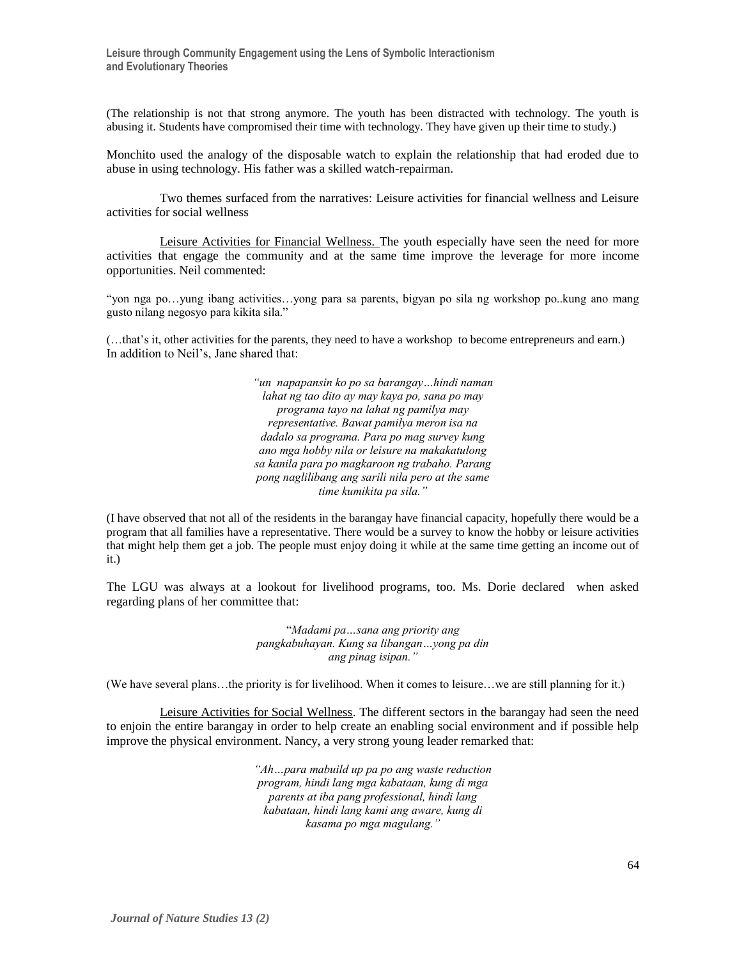(The relationship is not that strong anymore. The youth has been distracted with technology. The youth is abusing it. Students have compromised their time with technology. They have given up their time to study.)

Monchito used the analogy of the disposable watch to explain the relationship that had eroded due to abuse in using technology. His father was a skilled watch-repairman.

Two themes surfaced from the narratives: Leisure activities for financial wellness and Leisure activities for social wellness

Leisure Activities for Financial Wellness. The youth especially have seen the need for more activities that engage the community and at the same time improve the leverage for more income opportunities. Neil commented:

"yon nga po…yung ibang activities…yong para sa parents, bigyan po sila ng workshop po..kung ano mang gusto nilang negosyo para kikita sila."

(…that's it, other activities for the parents, they need to have a workshop to become entrepreneurs and earn.) In addition to Neil's, Jane shared that:

> *"un napapansin ko po sa barangay…hindi naman lahat ng tao dito ay may kaya po, sana po may programa tayo na lahat ng pamilya may representative. Bawat pamilya meron isa na dadalo sa programa. Para po mag survey kung ano mga hobby nila or leisure na makakatulong sa kanila para po magkaroon ng trabaho. Parang pong naglilibang ang sarili nila pero at the same time kumikita pa sila."*

(I have observed that not all of the residents in the barangay have financial capacity, hopefully there would be a program that all families have a representative. There would be a survey to know the hobby or leisure activities that might help them get a job. The people must enjoy doing it while at the same time getting an income out of it.)

The LGU was always at a lookout for livelihood programs, too. Ms. Dorie declared when asked regarding plans of her committee that:

> "*Madami pa…sana ang priority ang pangkabuhayan. Kung sa libangan…yong pa din ang pinag isipan."*

(We have several plans…the priority is for livelihood. When it comes to leisure…we are still planning for it.)

Leisure Activities for Social Wellness. The different sectors in the barangay had seen the need to enjoin the entire barangay in order to help create an enabling social environment and if possible help improve the physical environment. Nancy, a very strong young leader remarked that:

> *"Ah…para mabuild up pa po ang waste reduction program, hindi lang mga kabataan, kung di mga parents at iba pang professional, hindi lang kabataan, hindi lang kami ang aware, kung di kasama po mga magulang."*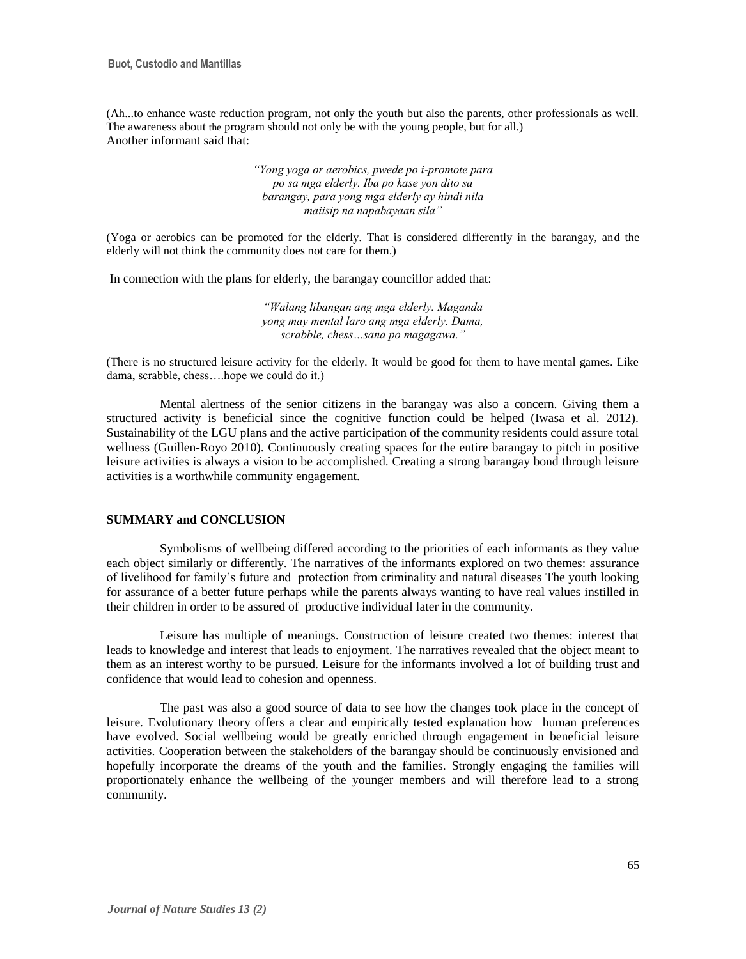(Ah...to enhance waste reduction program, not only the youth but also the parents, other professionals as well. The awareness about the program should not only be with the young people, but for all.) Another informant said that:

> *"Yong yoga or aerobics, pwede po i-promote para po sa mga elderly. Iba po kase yon dito sa barangay, para yong mga elderly ay hindi nila maiisip na napabayaan sila"*

(Yoga or aerobics can be promoted for the elderly. That is considered differently in the barangay, and the elderly will not think the community does not care for them.)

In connection with the plans for elderly, the barangay councillor added that:

*"Walang libangan ang mga elderly. Maganda yong may mental laro ang mga elderly. Dama, scrabble, chess…sana po magagawa."*

(There is no structured leisure activity for the elderly. It would be good for them to have mental games. Like dama, scrabble, chess….hope we could do it.)

Mental alertness of the senior citizens in the barangay was also a concern. Giving them a structured activity is beneficial since the cognitive function could be helped (Iwasa et al. 2012). Sustainability of the LGU plans and the active participation of the community residents could assure total wellness (Guillen-Royo 2010). Continuously creating spaces for the entire barangay to pitch in positive leisure activities is always a vision to be accomplished. Creating a strong barangay bond through leisure activities is a worthwhile community engagement.

# **SUMMARY and CONCLUSION**

Symbolisms of wellbeing differed according to the priorities of each informants as they value each object similarly or differently. The narratives of the informants explored on two themes: assurance of livelihood for family's future and protection from criminality and natural diseases The youth looking for assurance of a better future perhaps while the parents always wanting to have real values instilled in their children in order to be assured of productive individual later in the community.

Leisure has multiple of meanings. Construction of leisure created two themes: interest that leads to knowledge and interest that leads to enjoyment. The narratives revealed that the object meant to them as an interest worthy to be pursued. Leisure for the informants involved a lot of building trust and confidence that would lead to cohesion and openness.

The past was also a good source of data to see how the changes took place in the concept of leisure. Evolutionary theory offers a clear and empirically tested explanation how human preferences have evolved. Social wellbeing would be greatly enriched through engagement in beneficial leisure activities. Cooperation between the stakeholders of the barangay should be continuously envisioned and hopefully incorporate the dreams of the youth and the families. Strongly engaging the families will proportionately enhance the wellbeing of the younger members and will therefore lead to a strong community.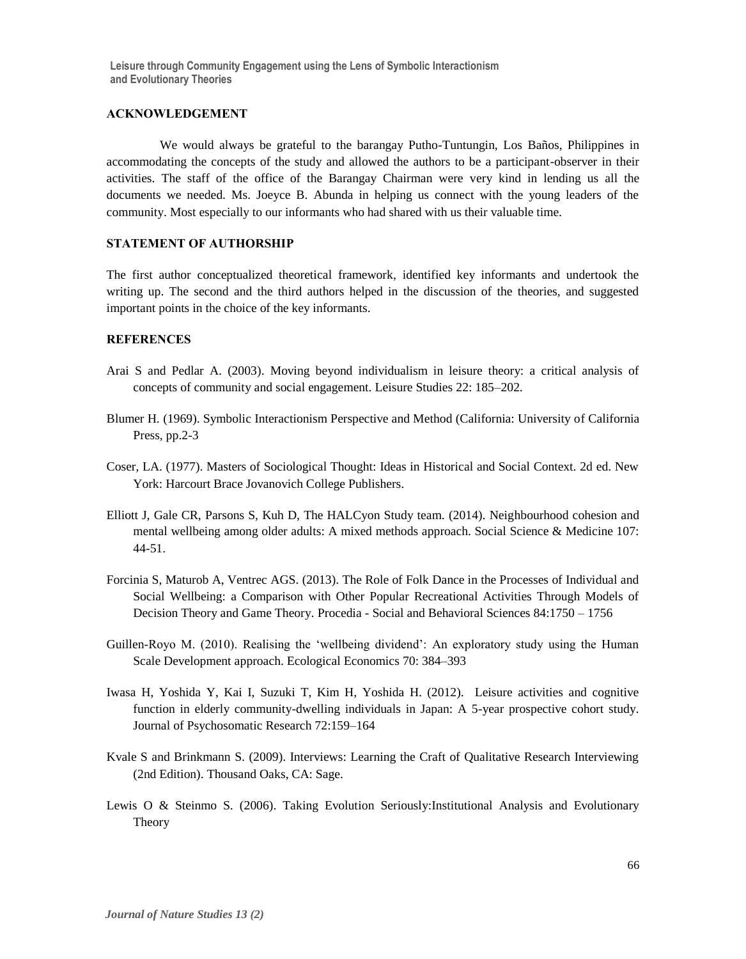#### **ACKNOWLEDGEMENT**

We would always be grateful to the barangay Putho-Tuntungin, Los Baños, Philippines in accommodating the concepts of the study and allowed the authors to be a participant-observer in their activities. The staff of the office of the Barangay Chairman were very kind in lending us all the documents we needed. Ms. Joeyce B. Abunda in helping us connect with the young leaders of the community. Most especially to our informants who had shared with us their valuable time.

# **STATEMENT OF AUTHORSHIP**

The first author conceptualized theoretical framework, identified key informants and undertook the writing up. The second and the third authors helped in the discussion of the theories, and suggested important points in the choice of the key informants.

# **REFERENCES**

- Arai S and Pedlar A. (2003). Moving beyond individualism in leisure theory: a critical analysis of concepts of community and social engagement. Leisure Studies 22: 185–202.
- Blumer H. (1969). Symbolic Interactionism Perspective and Method (California: University of California Press, pp.2-3
- Coser, LA. (1977). Masters of Sociological Thought: Ideas in Historical and Social Context. 2d ed. New York: Harcourt Brace Jovanovich College Publishers.
- Elliott J, Gale CR, Parsons S, Kuh D, The HALCyon Study team. (2014). Neighbourhood cohesion and mental wellbeing among older adults: A mixed methods approach. Social Science & Medicine 107: 44-51.
- Forcinia S, Maturob A, Ventrec AGS. (2013). The Role of Folk Dance in the Processes of Individual and Social Wellbeing: a Comparison with Other Popular Recreational Activities Through Models of Decision Theory and Game Theory. Procedia - Social and Behavioral Sciences 84:1750 – 1756
- Guillen-Royo M. (2010). Realising the 'wellbeing dividend': An exploratory study using the Human Scale Development approach. Ecological Economics 70: 384–393
- Iwasa H, Yoshida Y, Kai I, Suzuki T, Kim H, Yoshida H. (2012). Leisure activities and cognitive function in elderly community-dwelling individuals in Japan: A 5-year prospective cohort study. Journal of Psychosomatic Research 72:159–164
- Kvale S and Brinkmann S. (2009). Interviews: Learning the Craft of Qualitative Research Interviewing (2nd Edition). Thousand Oaks, CA: Sage.
- Lewis O & Steinmo S. (2006). Taking Evolution Seriously:Institutional Analysis and Evolutionary Theory